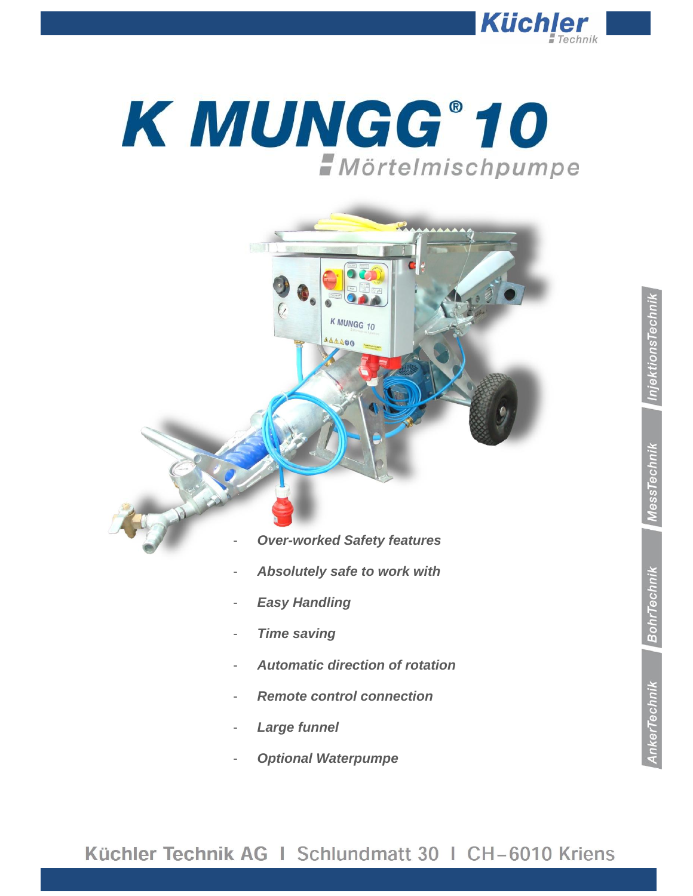

# K MUNGG®10 *Mörtelmischpumpe*



- *Remote control connection*
- *Large funnel*
- *Optional Waterpumpe*

## Küchler Technik AG I Schlundmatt 30 I CH-6010 Kriens